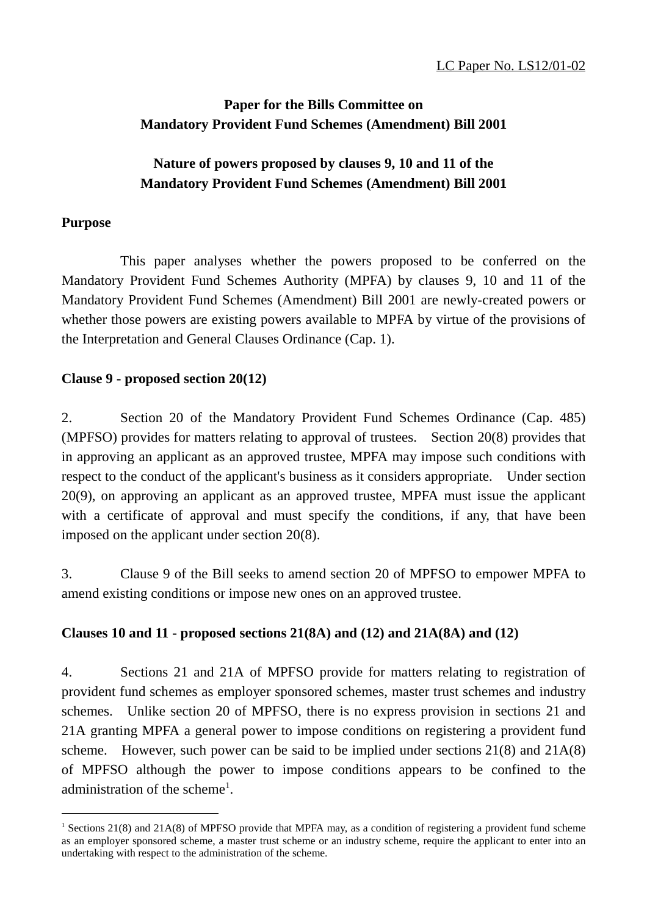## **Paper for the Bills Committee on Mandatory Provident Fund Schemes (Amendment) Bill 2001**

## **Nature of powers proposed by clauses 9, 10 and 11 of the Mandatory Provident Fund Schemes (Amendment) Bill 2001**

### **Purpose**

 $\overline{a}$ 

This paper analyses whether the powers proposed to be conferred on the Mandatory Provident Fund Schemes Authority (MPFA) by clauses 9, 10 and 11 of the Mandatory Provident Fund Schemes (Amendment) Bill 2001 are newly-created powers or whether those powers are existing powers available to MPFA by virtue of the provisions of the Interpretation and General Clauses Ordinance (Cap. 1).

### **Clause 9 - proposed section 20(12)**

2. Section 20 of the Mandatory Provident Fund Schemes Ordinance (Cap. 485) (MPFSO) provides for matters relating to approval of trustees. Section 20(8) provides that in approving an applicant as an approved trustee, MPFA may impose such conditions with respect to the conduct of the applicant's business as it considers appropriate. Under section 20(9), on approving an applicant as an approved trustee, MPFA must issue the applicant with a certificate of approval and must specify the conditions, if any, that have been imposed on the applicant under section 20(8).

3. Clause 9 of the Bill seeks to amend section 20 of MPFSO to empower MPFA to amend existing conditions or impose new ones on an approved trustee.

## **Clauses 10 and 11 - proposed sections 21(8A) and (12) and 21A(8A) and (12)**

4. Sections 21 and 21A of MPFSO provide for matters relating to registration of provident fund schemes as employer sponsored schemes, master trust schemes and industry schemes. Unlike section 20 of MPFSO, there is no express provision in sections 21 and 21A granting MPFA a general power to impose conditions on registering a provident fund scheme. However, such power can be said to be implied under sections 21(8) and 21A(8) of MPFSO although the power to impose conditions appears to be confined to the administration of the scheme<sup>1</sup>.

<sup>&</sup>lt;sup>1</sup> Sections 21(8) and 21A(8) of MPFSO provide that MPFA may, as a condition of registering a provident fund scheme as an employer sponsored scheme, a master trust scheme or an industry scheme, require the applicant to enter into an undertaking with respect to the administration of the scheme.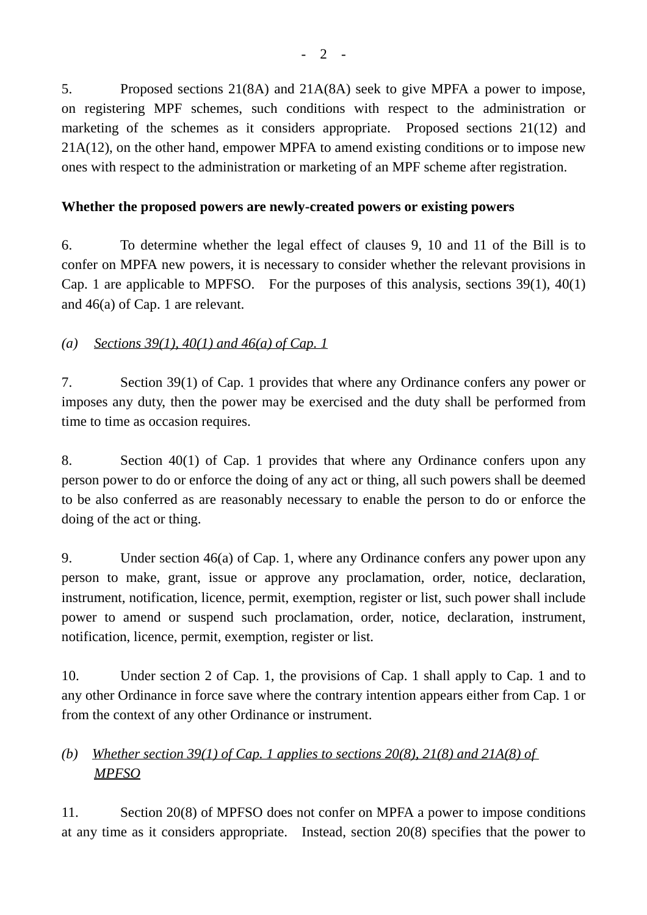5. Proposed sections 21(8A) and 21A(8A) seek to give MPFA a power to impose, on registering MPF schemes, such conditions with respect to the administration or marketing of the schemes as it considers appropriate. Proposed sections 21(12) and 21A(12), on the other hand, empower MPFA to amend existing conditions or to impose new ones with respect to the administration or marketing of an MPF scheme after registration.

## **Whether the proposed powers are newly-created powers or existing powers**

6. To determine whether the legal effect of clauses 9, 10 and 11 of the Bill is to confer on MPFA new powers, it is necessary to consider whether the relevant provisions in Cap. 1 are applicable to MPFSO. For the purposes of this analysis, sections 39(1), 40(1) and 46(a) of Cap. 1 are relevant.

## *(a) Sections 39(1), 40(1) and 46(a) of Cap. 1*

7. Section 39(1) of Cap. 1 provides that where any Ordinance confers any power or imposes any duty, then the power may be exercised and the duty shall be performed from time to time as occasion requires.

8. Section 40(1) of Cap. 1 provides that where any Ordinance confers upon any person power to do or enforce the doing of any act or thing, all such powers shall be deemed to be also conferred as are reasonably necessary to enable the person to do or enforce the doing of the act or thing.

9. Under section 46(a) of Cap. 1, where any Ordinance confers any power upon any person to make, grant, issue or approve any proclamation, order, notice, declaration, instrument, notification, licence, permit, exemption, register or list, such power shall include power to amend or suspend such proclamation, order, notice, declaration, instrument, notification, licence, permit, exemption, register or list.

10. Under section 2 of Cap. 1, the provisions of Cap. 1 shall apply to Cap. 1 and to any other Ordinance in force save where the contrary intention appears either from Cap. 1 or from the context of any other Ordinance or instrument.

# *(b) Whether section 39(1) of Cap. 1 applies to sections 20(8), 21(8) and 21A(8) of MPFSO*

11. Section 20(8) of MPFSO does not confer on MPFA a power to impose conditions at any time as it considers appropriate. Instead, section 20(8) specifies that the power to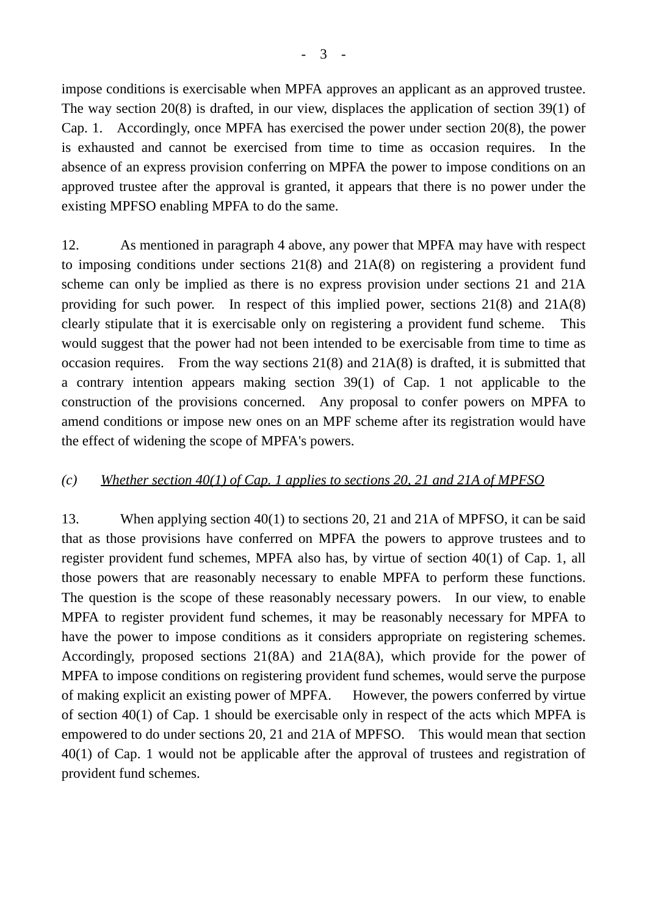impose conditions is exercisable when MPFA approves an applicant as an approved trustee. The way section 20(8) is drafted, in our view, displaces the application of section 39(1) of Cap. 1. Accordingly, once MPFA has exercised the power under section 20(8), the power is exhausted and cannot be exercised from time to time as occasion requires. In the absence of an express provision conferring on MPFA the power to impose conditions on an approved trustee after the approval is granted, it appears that there is no power under the existing MPFSO enabling MPFA to do the same.

12. As mentioned in paragraph 4 above, any power that MPFA may have with respect to imposing conditions under sections 21(8) and 21A(8) on registering a provident fund scheme can only be implied as there is no express provision under sections 21 and 21A providing for such power. In respect of this implied power, sections 21(8) and 21A(8) clearly stipulate that it is exercisable only on registering a provident fund scheme. This would suggest that the power had not been intended to be exercisable from time to time as occasion requires. From the way sections 21(8) and 21A(8) is drafted, it is submitted that a contrary intention appears making section 39(1) of Cap. 1 not applicable to the construction of the provisions concerned. Any proposal to confer powers on MPFA to amend conditions or impose new ones on an MPF scheme after its registration would have the effect of widening the scope of MPFA's powers.

## *(c) Whether section 40(1) of Cap. 1 applies to sections 20, 21 and 21A of MPFSO*

13. When applying section 40(1) to sections 20, 21 and 21A of MPFSO, it can be said that as those provisions have conferred on MPFA the powers to approve trustees and to register provident fund schemes, MPFA also has, by virtue of section 40(1) of Cap. 1, all those powers that are reasonably necessary to enable MPFA to perform these functions. The question is the scope of these reasonably necessary powers. In our view, to enable MPFA to register provident fund schemes, it may be reasonably necessary for MPFA to have the power to impose conditions as it considers appropriate on registering schemes. Accordingly, proposed sections 21(8A) and 21A(8A), which provide for the power of MPFA to impose conditions on registering provident fund schemes, would serve the purpose of making explicit an existing power of MPFA. However, the powers conferred by virtue of section 40(1) of Cap. 1 should be exercisable only in respect of the acts which MPFA is empowered to do under sections 20, 21 and 21A of MPFSO. This would mean that section 40(1) of Cap. 1 would not be applicable after the approval of trustees and registration of provident fund schemes.